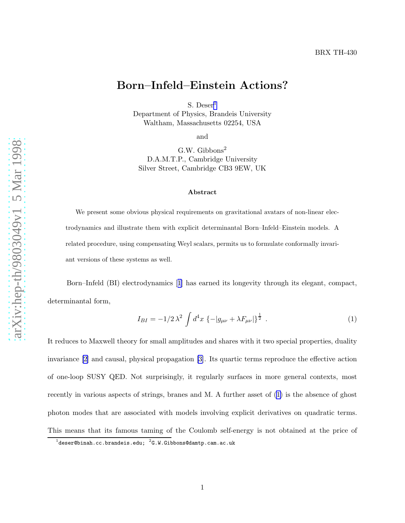## <span id="page-0-0"></span>Born–Infeld–Einstein Actions?

S. Deser<sup>1</sup> Department of Physics, Brandeis University Waltham, Massachusetts 02254, USA

and

G.W. Gibbons 2 D.A.M.T.P., Cambridge University Silver Street, Cambridge CB3 9EW, UK

## Abstract

We present some obvious physical requirements on gravitational avatars of non-linear electrodynamics and illustrate them with explicit determinantal Born–Infeld–Einstein models. A related procedure, using compensating Weyl scalars, permits us to formulate conformally invariant versions of these systems as well.

Born–Infeld (BI) electrodynamics[[1](#page-6-0)] has earned its longevity through its elegant, compact, determinantal form,

$$
I_{BI} = -1/2\lambda^2 \int d^4x \left\{-|g_{\mu\nu} + \lambda F_{\mu\nu}|\right\}^{\frac{1}{2}}.
$$
 (1)

It reduces to Maxwell theory for small amplitudes and shares with it two special properties, duality invariance [\[2\]](#page-6-0) and causal, physical propagation [\[3\]](#page-6-0). Its quartic terms reproduce the effective action of one-loop SUSY QED. Not surprisingly, it regularly surfaces in more general contexts, most recently in various aspects of strings, branes and M. A further asset of (1) is the absence of ghost photon modes that are associated with models involving explicit derivatives on quadratic terms. This means that its famous taming of the Coulomb self-energy is not obtained at the price of

 $^1$ deser@binah.cc.brandeis.edu;  $^2$ G.W.Gibbons@damtp.cam.ac.uk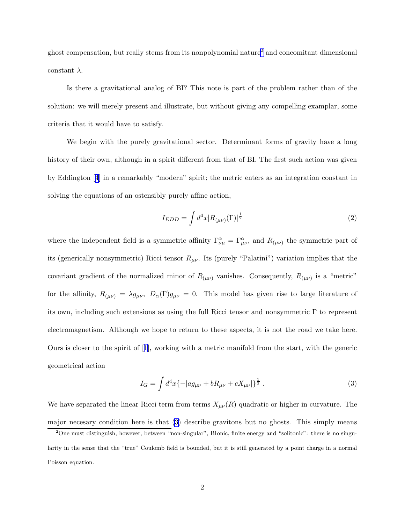<span id="page-1-0"></span>ghost compensation, but really stems from its nonpolynomial nature<sup>2</sup> and concomitant dimensional constant  $\lambda$ .

Is there a gravitational analog of BI? This note is part of the problem rather than of the solution: we will merely present and illustrate, but without giving any compelling examplar, some criteria that it would have to satisfy.

We begin with the purely gravitational sector. Determinant forms of gravity have a long history of their own, although in a spirit different from that of BI. The first such action was given by Eddington[[4](#page-6-0)] in a remarkably "modern" spirit; the metric enters as an integration constant in solving the equations of an ostensibly purely affine action,

$$
I_{EDD} = \int d^4x |R_{(\mu\nu)}(\Gamma)|^{\frac{1}{2}} \tag{2}
$$

where the independent field is a symmetric affinity  $\Gamma_{\nu\mu}^{\alpha} = \Gamma_{\mu\nu}^{\alpha}$ , and  $R_{(\mu\nu)}$  the symmetric part of its (generically nonsymmetric) Ricci tensor  $R_{\mu\nu}$ . Its (purely "Palatini") variation implies that the covariant gradient of the normalized minor of  $R_{(\mu\nu)}$  vanishes. Consequently,  $R_{(\mu\nu)}$  is a "metric" for the affinity,  $R_{(\mu\nu)} = \lambda g_{\mu\nu}$ ,  $D_{\alpha}(\Gamma)g_{\mu\nu} = 0$ . This model has given rise to large literature of its own, including such extensions as using the full Ricci tensor and nonsymmetric Γ to represent electromagnetism. Although we hope to return to these aspects, it is not the road we take here. Ours is closer to the spirit of[[1](#page-6-0)], working with a metric manifold from the start, with the generic geometrical action

$$
I_G = \int d^4x \{-|ag_{\mu\nu} + bR_{\mu\nu} + cX_{\mu\nu}|\}^{\frac{1}{2}}.
$$
 (3)

We have separated the linear Ricci term from terms  $X_{\mu\nu}(R)$  quadratic or higher in curvature. The major necesary condition here is that (3) describe gravitons but no ghosts. This simply means

<sup>2</sup>One must distinguish, however, between "non-singular", BIonic, finite energy and "solitonic": there is no singularity in the sense that the "true" Coulomb field is bounded, but it is still generated by a point charge in a normal Poisson equation.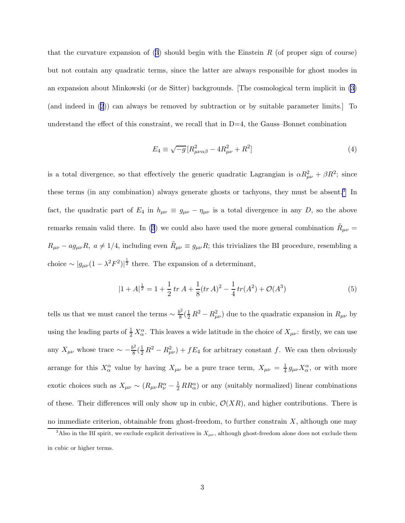thatthe curvature expansion of  $(3)$  $(3)$  $(3)$  should begin with the Einstein R (of proper sign of course) but not contain any quadratic terms, since the latter are always responsible for ghost modes in an expansion about Minkowski (or de Sitter) backgrounds. [The cosmological term implicit in [\(3\)](#page-1-0) (and indeed in([2](#page-1-0))) can always be removed by subtraction or by suitable parameter limits.] To understand the effect of this constraint, we recall that in  $D=4$ , the Gauss–Bonnet combination

$$
E_4 \equiv \sqrt{-g} \left[ R_{\mu\nu\alpha\beta}^2 - 4R_{\mu\nu}^2 + R^2 \right] \tag{4}
$$

is a total divergence, so that effectively the generic quadratic Lagrangian is  $\alpha R_{\mu\nu}^2 + \beta R^2$ ; since these terms (in any combination) always generate ghosts or tachyons, they must be absent.<sup>3</sup> In fact, the quadratic part of  $E_4$  in  $h_{\mu\nu} \equiv g_{\mu\nu} - \eta_{\mu\nu}$  is a total divergence in any D, so the above remarks remain valid there. In [\(3](#page-1-0)) we could also have used the more general combination  $\tilde{R}_{\mu\nu} =$  $R_{\mu\nu} - ag_{\mu\nu}R$ ,  $a \neq 1/4$ , including even  $\tilde{R}_{\mu\nu} \equiv g_{\mu\nu}R$ ; this trivializes the BI procedure, resembling a choice  $\sim |g_{\mu\nu}(1 - \lambda^2 F^2)|^{\frac{1}{2}}$  there. The expansion of a determinant,

$$
|1 + A|^{\frac{1}{2}} = 1 + \frac{1}{2} \operatorname{tr} A + \frac{1}{8} (\operatorname{tr} A)^2 - \frac{1}{4} \operatorname{tr} (A^2) + \mathcal{O}(A^3)
$$
 (5)

tells us that we must cancel the terms  $\sim \frac{b^2}{8}$  $\frac{B^2}{8}(\frac{1}{2}R^2 - R_{\mu\nu}^2)$  due to the quadratic expansion in  $R_{\mu\nu}$  by using the leading parts of  $\frac{1}{2}X_{\alpha}^{\alpha}$ . This leaves a wide latitude in the choice of  $X_{\mu\nu}$ : firstly, we can use any  $X_{\mu\nu}$  whose trace  $\sim -\frac{b^2}{8}$  $\frac{B}{8}(\frac{1}{2}R^2 - R_{\mu\nu}^2) + fE_4$  for arbitrary constant f. We can then obviously arrange for this  $X_{\alpha}^{\alpha}$  value by having  $X_{\mu\nu}$  be a pure trace term,  $X_{\mu\nu} = \frac{1}{4}$  $\frac{1}{4} g_{\mu\nu} X^{\alpha}_{\alpha}$ , or with more exotic choices such as  $X_{\mu\nu} \sim (R_{\mu\nu}R^{\alpha}_{\nu} - \frac{1}{2}RR^{\alpha}_{\alpha})$  or any (suitably normalized) linear combinations of these. Their differences will only show up in cubic,  $\mathcal{O}(XR)$ , and higher contributions. There is no immediate criterion, obtainable from ghost-freedom, to further constrain  $X$ , although one may

<sup>&</sup>lt;sup>3</sup>Also in the BI spirit, we exclude explicit derivatives in  $X_{\mu\nu}$ , although ghost-freedom alone does not exclude them in cubic or higher terms.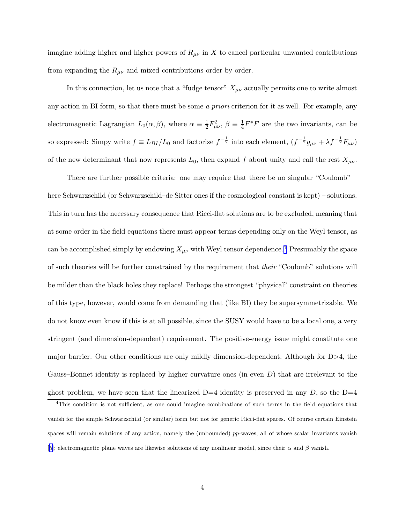imagine adding higher and higher powers of  $R_{\mu\nu}$  in X to cancel particular unwanted contributions from expanding the  $R_{\mu\nu}$  and mixed contributions order by order.

In this connection, let us note that a "fudge tensor"  $X_{\mu\nu}$  actually permits one to write almost any action in BI form, so that there must be some a priori criterion for it as well. For example, any electromagnetic Lagrangian  $L_0(\alpha, \beta)$ , where  $\alpha \equiv \frac{1}{2}$  $\frac{1}{2}F_{\mu\nu}^{2}, \ \beta \equiv \frac{1}{4}$  $\frac{1}{4}F^*F$  are the two invariants, can be so expressed: Simpy write  $f \equiv L_{BI}/L_0$  and factorize  $f^{-\frac{1}{2}}$  into each element,  $(f^{-\frac{1}{2}}g_{\mu\nu} + \lambda f^{-\frac{1}{2}}F_{\mu\nu})$ of the new determinant that now represents  $L_0$ , then expand f about unity and call the rest  $X_{\mu\nu}$ .

There are further possible criteria: one may require that there be no singular "Coulomb" – here Schwarzschild (or Schwarzschild–de Sitter ones if the cosmological constant is kept) – solutions. This in turn has the necessary consequence that Ricci-flat solutions are to be excluded, meaning that at some order in the field equations there must appear terms depending only on the Weyl tensor, as can be accomplished simply by endowing  $X_{\mu\nu}$  with Weyl tensor dependence.<sup>4</sup> Presumably the space of such theories will be further constrained by the requirement that their "Coulomb" solutions will be milder than the black holes they replace! Perhaps the strongest "physical" constraint on theories of this type, however, would come from demanding that (like BI) they be supersymmetrizable. We do not know even know if this is at all possible, since the SUSY would have to be a local one, a very stringent (and dimension-dependent) requirement. The positive-energy issue might constitute one major barrier. Our other conditions are only mildly dimension-dependent: Although for D>4, the Gauss–Bonnet identity is replaced by higher curvature ones (in even  $D$ ) that are irrelevant to the ghost problem, we have seen that the linearized  $D=4$  identity is preserved in any D, so the  $D=4$ 

<sup>4</sup>This condition is not sufficient, as one could imagine combinations of such terms in the field equations that vanish for the simple Schwarzschild (or similar) form but not for generic Ricci-flat spaces. Of course certain Einstein spaces will remain solutions of any action, namely the (unbounded) pp-waves, all of whose scalar invariants vanish [[5](#page-6-0)]; electromagnetic plane waves are likewise solutions of any nonlinear model, since their  $\alpha$  and  $\beta$  vanish.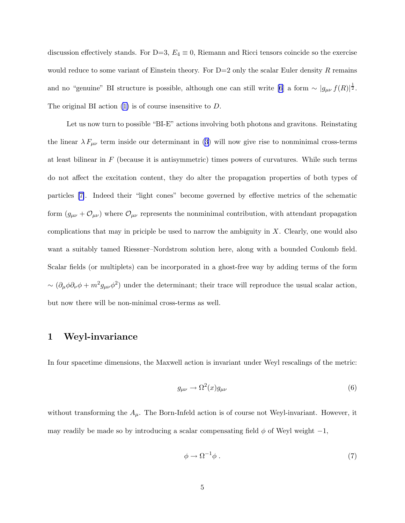discussion effectively stands. For D=3,  $E_4 \equiv 0$ , Riemann and Ricci tensors coincide so the exercise would reduce to some variant of Einstein theory. For  $D=2$  only the scalar Euler density R remains and no "genuine" BI structure is possible, although one can still write [\[6](#page-6-0)] a form  $\sim |g_{\mu\nu} f(R)|^{\frac{1}{2}}$ . The original BI action  $(1)$  is of course insensitive to D.

Let us now turn to possible "BI-E" actions involving both photons and gravitons. Reinstating thelinear  $\lambda F_{\mu\nu}$  term inside our determinant in ([3](#page-1-0)) will now give rise to nonminimal cross-terms at least bilinear in  $F$  (because it is antisymmetric) times powers of curvatures. While such terms do not affect the excitation content, they do alter the propagation properties of both types of particles [\[7\]](#page-6-0). Indeed their "light cones" become governed by effective metrics of the schematic form  $(g_{\mu\nu} + \mathcal{O}_{\mu\nu})$  where  $\mathcal{O}_{\mu\nu}$  represents the nonminimal contribution, with attendant propagation complications that may in priciple be used to narrow the ambiguity in  $X$ . Clearly, one would also want a suitably tamed Riessner–Nordstrom solution here, along with a bounded Coulomb field. Scalar fields (or multiplets) can be incorporated in a ghost-free way by adding terms of the form  $\sim (\partial_{\mu}\phi\partial_{\nu}\phi + m^2 g_{\mu\nu}\phi^2)$  under the determinant; their trace will reproduce the usual scalar action, but now there will be non-minimal cross-terms as well.

## 1 Weyl-invariance

In four spacetime dimensions, the Maxwell action is invariant under Weyl rescalings of the metric:

$$
g_{\mu\nu} \to \Omega^2(x) g_{\mu\nu} \tag{6}
$$

without transforming the  $A_\mu$ . The Born-Infeld action is of course not Weyl-invariant. However, it may readily be made so by introducing a scalar compensating field  $\phi$  of Weyl weight  $-1$ ,

$$
\phi \to \Omega^{-1} \phi \ . \tag{7}
$$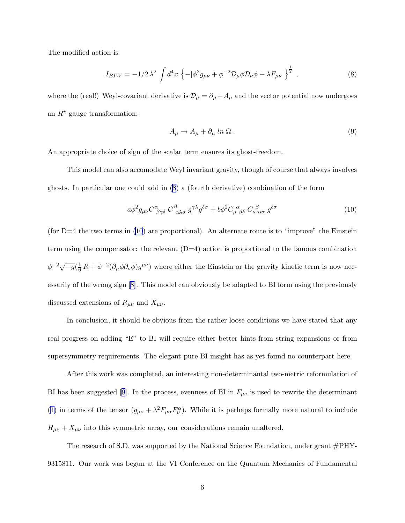The modified action is

$$
I_{BIW} = -1/2\lambda^2 \int d^4x \left\{ -|\phi^2 g_{\mu\nu} + \phi^{-2} \mathcal{D}_{\mu} \phi \mathcal{D}_{\nu} \phi + \lambda F_{\mu\nu}|\right\}^{\frac{1}{2}},\tag{8}
$$

where the (real!) Weyl-covariant derivative is  $\mathcal{D}_{\mu} = \partial_{\mu} + A_{\mu}$  and the vector potential now undergoes an  $R^*$  gauge transformation:

$$
A_{\mu} \to A_{\mu} + \partial_{\mu} \ln \Omega \,. \tag{9}
$$

An appropriate choice of sign of the scalar term ensures its ghost-freedom.

This model can also accomodate Weyl invariant gravity, though of course that always involves ghosts. In particular one could add in (8) a (fourth derivative) combination of the form

$$
a\phi^2 g_{\mu\nu} C^{\alpha}_{\ \beta\gamma\delta} C^{\beta}_{\ \alpha\lambda\sigma} g^{\gamma\lambda} g^{\delta\sigma} + b\phi^2 C_{\mu \ \beta\delta}^{\ \alpha} C_{\nu \ \alpha\sigma}^{\ \beta} g^{\delta\sigma} \tag{10}
$$

(for  $D=4$  the two terms in (10) are proportional). An alternate route is to "improve" the Einstein term using the compensator: the relevant  $(D=4)$  action is proportional to the famous combination  $\phi^{-2}\sqrt{-g}(\frac{1}{6}R+\phi^{-2}(\partial_{\mu}\phi\partial_{\nu}\phi)g^{\mu\nu})$  where either the Einstein or the gravity kinetic term is now necessarily of the wrong sign [\[8\]](#page-6-0). This model can obviously be adapted to BI form using the previously discussed extensions of  $R_{\mu\nu}$  and  $X_{\mu\nu}$ .

In conclusion, it should be obvious from the rather loose conditions we have stated that any real progress on adding "E" to BI will require either better hints from string expansions or from supersymmetry requirements. The elegant pure BI insight has as yet found no counterpart here.

After this work was completed, an interesting non-determinantal two-metric reformulation of BIhas been suggested [[9](#page-6-0)]. In the process, evenness of BI in  $F_{\mu\nu}$  is used to rewrite the determinant [\(1\)](#page-0-0) in terms of the tensor  $(g_{\mu\nu} + \lambda^2 F_{\mu\alpha} F_{\nu}^{\alpha})$ . While it is perhaps formally more natural to include  $R_{\mu\nu} + X_{\mu\nu}$  into this symmetric array, our considerations remain unaltered.

The research of S.D. was supported by the National Science Foundation, under grant  $\#PHY$ -9315811. Our work was begun at the VI Conference on the Quantum Mechanics of Fundamental